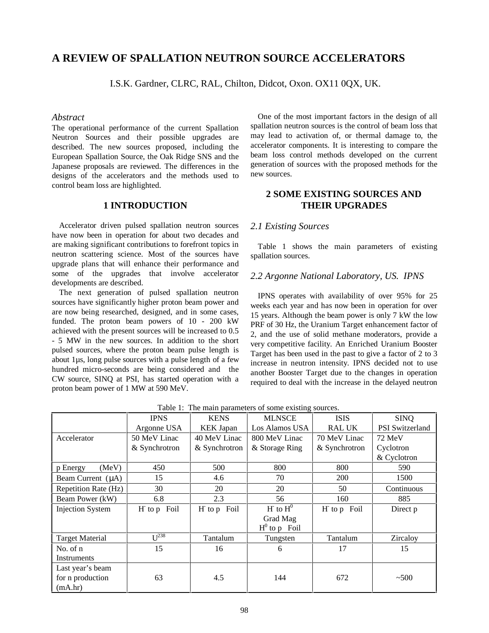# **A REVIEW OF SPALLATION NEUTRON SOURCE ACCELERATORS**

I.S.K. Gardner, CLRC, RAL, Chilton, Didcot, Oxon. OX11 0QX, UK.

#### *Abstract*

The operational performance of the current Spallation Neutron Sources and their possible upgrades are described. The new sources proposed, including the European Spallation Source, the Oak Ridge SNS and the Japanese proposals are reviewed. The differences in the designs of the accelerators and the methods used to control beam loss are highlighted.

### **1 INTRODUCTION**

Accelerator driven pulsed spallation neutron sources have now been in operation for about two decades and are making significant contributions to forefront topics in neutron scattering science. Most of the sources have upgrade plans that will enhance their performance and some of the upgrades that involve accelerator developments are described.

The next generation of pulsed spallation neutron sources have significantly higher proton beam power and are now being researched, designed, and in some cases, funded. The proton beam powers of 10 - 200 kW achieved with the present sources will be increased to 0.5 - 5 MW in the new sources. In addition to the short pulsed sources, where the proton beam pulse length is about 1µs, long pulse sources with a pulse length of a few hundred micro-seconds are being considered and the CW source, SINQ at PSI, has started operation with a proton beam power of 1 MW at 590 MeV.

One of the most important factors in the design of all spallation neutron sources is the control of beam loss that may lead to activation of, or thermal damage to, the accelerator components. It is interesting to compare the beam loss control methods developed on the current generation of sources with the proposed methods for the new sources.

# **2 SOME EXISTING SOURCES AND THEIR UPGRADES**

#### *2.1 Existing Sources*

Table 1 shows the main parameters of existing spallation sources.

### *2.2 Argonne National Laboratory, US. IPNS*

IPNS operates with availability of over 95% for 25 weeks each year and has now been in operation for over 15 years. Although the beam power is only 7 kW the low PRF of 30 Hz, the Uranium Target enhancement factor of 2, and the use of solid methane moderators, provide a very competitive facility. An Enriched Uranium Booster Target has been used in the past to give a factor of 2 to 3 increase in neutron intensity. IPNS decided not to use another Booster Target due to the changes in operation required to deal with the increase in the delayed neutron

|                         | <b>IPNS</b>          | <b>KENS</b><br><b>MLNSCE</b> |                                       | <b>ISIS</b>   | <b>SINQ</b>            |  |
|-------------------------|----------------------|------------------------------|---------------------------------------|---------------|------------------------|--|
|                         | Argonne USA          | <b>KEK Japan</b>             | Los Alamos USA                        | <b>RAL UK</b> | <b>PSI</b> Switzerland |  |
| Accelerator             | 50 MeV Linac         | 40 MeV Linac                 | 800 MeV Linac                         | 70 MeV Linac  | 72 MeV                 |  |
|                         | & Synchrotron        | & Synchrotron                | & Storage Ring                        | & Synchrotron | Cyclotron              |  |
|                         |                      |                              |                                       |               | & Cyclotron            |  |
| (MeV)<br>p Energy       | 450                  | 500                          | 800                                   | 800           | 590                    |  |
| Beam Current $(\mu A)$  | 15                   | 4.6                          | 70                                    | <b>200</b>    | 1500                   |  |
| Repetition Rate (Hz)    | 30                   | 20                           | 20                                    | 50            | Continuous             |  |
| Beam Power (kW)         | 6.8                  | 2.3                          | 56                                    | 160           | 885                    |  |
| <b>Injection System</b> | H to p Foil          | H to p Foil                  | $H^{\dagger}$ to $H^0$<br>H to p Foil |               | Direct p               |  |
|                         |                      |                              | Grad Mag                              |               |                        |  |
|                         |                      |                              | $H^0$ to p Foil                       |               |                        |  |
| <b>Target Material</b>  | $\overline{U}^{238}$ |                              | Tungsten                              | Tantalum      | <b>Zircalov</b>        |  |
| No. of $n$              | 15                   | 16                           | 6                                     | 17            | 15                     |  |
| Instruments             |                      |                              |                                       |               |                        |  |
| Last year's beam        |                      |                              |                                       |               |                        |  |
| for n production        | 63                   | 4.5                          | 144                                   | 672           | ~100                   |  |
| (mA/hr)                 |                      |                              |                                       |               |                        |  |

Table 1: The main parameters of some existing sources.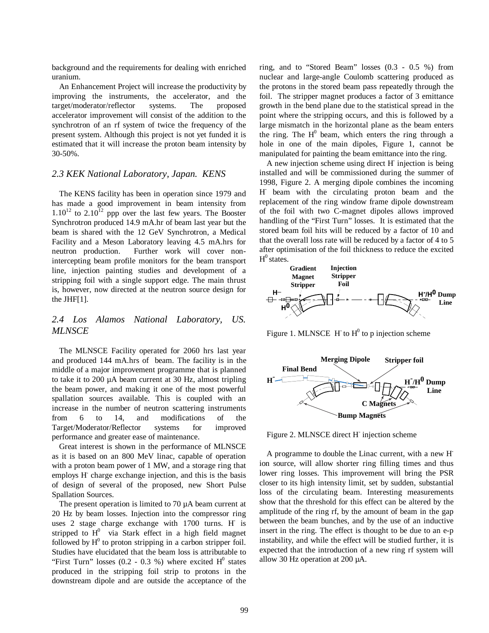background and the requirements for dealing with enriched uranium.

An Enhancement Project will increase the productivity by improving the instruments, the accelerator, and the target/moderator/reflector systems. The proposed accelerator improvement will consist of the addition to the synchrotron of an rf system of twice the frequency of the present system. Although this project is not yet funded it is estimated that it will increase the proton beam intensity by 30-50%.

#### *2.3 KEK National Laboratory, Japan. KENS*

The KENS facility has been in operation since 1979 and has made a good improvement in beam intensity from  $1.10^{12}$  to  $2.10^{12}$  ppp over the last few years. The Booster Synchrotron produced 14.9 mA.hr of beam last year but the beam is shared with the 12 GeV Synchrotron, a Medical Facility and a Meson Laboratory leaving 4.5 mA.hrs for neutron production. Further work will cover nonintercepting beam profile monitors for the beam transport line, injection painting studies and development of a stripping foil with a single support edge. The main thrust is, however, now directed at the neutron source design for the JHF[1].

### *2.4 Los Alamos National Laboratory, US. MLNSCE*

The MLNSCE Facility operated for 2060 hrs last year and produced 144 mA.hrs of beam. The facility is in the middle of a major improvement programme that is planned to take it to 200 µA beam current at 30 Hz, almost tripling the beam power, and making it one of the most powerful spallation sources available. This is coupled with an increase in the number of neutron scattering instruments from 6 to 14, and modifications of the Target/Moderator/Reflector systems for improved performance and greater ease of maintenance.

Great interest is shown in the performance of MLNSCE as it is based on an 800 MeV linac, capable of operation with a proton beam power of 1 MW, and a storage ring that employs H<sup>-</sup> charge exchange injection, and this is the basis of design of several of the proposed, new Short Pulse Spallation Sources.

The present operation is limited to 70 µA beam current at 20 Hz by beam losses. Injection into the compressor ring uses 2 stage charge exchange with 1700 turns. H is stripped to  $H^0$  via Stark effect in a high field magnet followed by  $H^0$  to proton stripping in a carbon stripper foil. Studies have elucidated that the beam loss is attributable to "First Turn" losses  $(0.2 - 0.3)$ %) where excited H<sup>0</sup> states produced in the stripping foil strip to protons in the downstream dipole and are outside the acceptance of the ring, and to "Stored Beam" losses (0.3 - 0.5 %) from nuclear and large-angle Coulomb scattering produced as the protons in the stored beam pass repeatedly through the foil. The stripper magnet produces a factor of 3 emittance growth in the bend plane due to the statistical spread in the point where the stripping occurs, and this is followed by a large mismatch in the horizontal plane as the beam enters the ring. The  $H^0$  beam, which enters the ring through a hole in one of the main dipoles, Figure 1, cannot be manipulated for painting the beam emittance into the ring.

A new injection scheme using direct H- injection is being installed and will be commissioned during the summer of 1998, Figure 2. A merging dipole combines the incoming H- beam with the circulating proton beam and the replacement of the ring window frame dipole downstream of the foil with two C-magnet dipoles allows improved handling of the "First Turn" losses. It is estimated that the stored beam foil hits will be reduced by a factor of 10 and that the overall loss rate will be reduced by a factor of 4 to 5 after optimisation of the foil thickness to reduce the excited  $H^0$  states.



Figure 1. MLNSCE  $H^{\text{-}}$  to  $H^0$  to p injection scheme



Figure 2. MLNSCE direct H injection scheme

A programme to double the Linac current, with a new Hion source, will allow shorter ring filling times and thus lower ring losses. This improvement will bring the PSR closer to its high intensity limit, set by sudden, substantial loss of the circulating beam. Interesting measurements show that the threshold for this effect can be altered by the amplitude of the ring rf, by the amount of beam in the gap between the beam bunches, and by the use of an inductive insert in the ring. The effect is thought to be due to an e-p instability, and while the effect will be studied further, it is expected that the introduction of a new ring rf system will allow 30 Hz operation at 200 µA.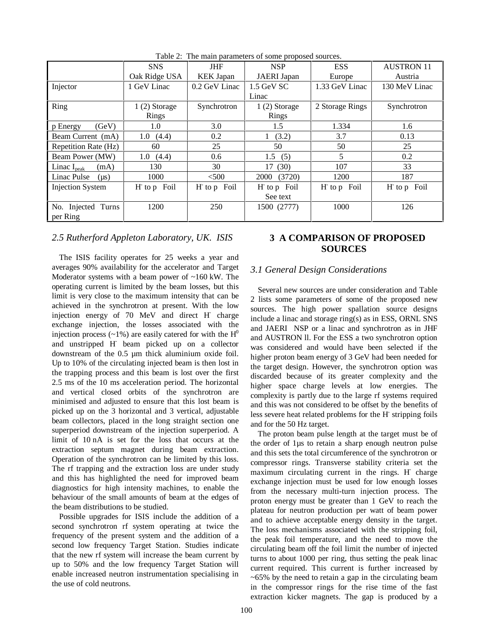|                          | <b>SNS</b>       | <b>JHF</b>    | <b>NSP</b>     | <b>ESS</b>      | <b>AUSTRON 11</b> |
|--------------------------|------------------|---------------|----------------|-----------------|-------------------|
|                          | Oak Ridge USA    |               | JAERI Japan    | Europe          | Austria           |
| Injector                 | 1 GeV Linac      | 0.2 GeV Linac | 1.5 GeV SC     | 1.33 GeV Linac  | 130 MeV Linac     |
|                          |                  |               | Linac          |                 |                   |
| Ring                     | $1(2)$ Storage   | Synchrotron   | $1(2)$ Storage | 2 Storage Rings | Synchrotron       |
|                          | Rings            |               | Rings          |                 |                   |
| p Energy<br>(GeV)        | 1.0              | 3.0           | 1.5            | 1.334           | 1.6               |
| Beam Current (mA)        | (4.4)<br>$1.0\,$ | 0.2           | (3.2)          | 3.7             | 0.13              |
| Repetition Rate (Hz)     | 60               | 25            | 50             | 50              | 25                |
| Beam Power (MW)          | 1.0(4.4)         | 0.6           | 1.5<br>(5)     | 5               | 0.2               |
| Linac $I_{peak}$<br>(mA) | 130              | 30            | 17(30)         | 107             | 33                |
| Linac Pulse<br>$(\mu s)$ | 1000             | $<$ 500       | (3720)<br>2000 | 1200            | 187               |
| <b>Injection System</b>  | H to p Foil      |               | H to p Foil    | H to p Foil     | H to p Foil       |
|                          |                  |               | See text       |                 |                   |
| No. Injected Turns       | 1200             | 250           | 1500 (2777)    | 1000            | 126               |
| per Ring                 |                  |               |                |                 |                   |

Table 2: The main parameters of some proposed sources.

### *2.5 Rutherford Appleton Laboratory, UK. ISIS*

The ISIS facility operates for 25 weeks a year and averages 90% availability for the accelerator and Target Moderator systems with a beam power of  $~160$  kW. The operating current is limited by the beam losses, but this limit is very close to the maximum intensity that can be achieved in the synchrotron at present. With the low injection energy of 70 MeV and direct H- charge exchange injection, the losses associated with the injection process ( $\sim$ 1%) are easily catered for with the  $H^0$ and unstripped H- beam picked up on a collector downstream of the 0.5 µm thick aluminium oxide foil. Up to 10% of the circulating injected beam is then lost in the trapping process and this beam is lost over the first 2.5 ms of the 10 ms acceleration period. The horizontal and vertical closed orbits of the synchrotron are minimised and adjusted to ensure that this lost beam is picked up on the 3 horizontal and 3 vertical, adjustable beam collectors, placed in the long straight section one superperiod downstream of the injection superperiod. A limit of 10 nA is set for the loss that occurs at the extraction septum magnet during beam extraction. Operation of the synchrotron can be limited by this loss. The rf trapping and the extraction loss are under study and this has highlighted the need for improved beam diagnostics for high intensity machines, to enable the behaviour of the small amounts of beam at the edges of the beam distributions to be studied.

Possible upgrades for ISIS include the addition of a second synchrotron rf system operating at twice the frequency of the present system and the addition of a second low frequency Target Station. Studies indicate that the new rf system will increase the beam current by up to 50% and the low frequency Target Station will enable increased neutron instrumentation specialising in the use of cold neutrons.

# **3 A COMPARISON OF PROPOSED SOURCES**

### *3.1 General Design Considerations*

Several new sources are under consideration and Table 2 lists some parameters of some of the proposed new sources. The high power spallation source designs include a linac and storage ring(s) as in ESS, ORNL SNS and JAERI NSP or a linac and synchrotron as in JHF and AUSTRON ll. For the ESS a two synchrotron option was considered and would have been selected if the higher proton beam energy of 3 GeV had been needed for the target design. However, the synchrotron option was discarded because of its greater complexity and the higher space charge levels at low energies. The complexity is partly due to the large rf systems required and this was not considered to be offset by the benefits of less severe heat related problems for the H stripping foils and for the 50 Hz target.

The proton beam pulse length at the target must be of the order of 1µs to retain a sharp enough neutron pulse and this sets the total circumference of the synchrotron or compressor rings. Transverse stability criteria set the maximum circulating current in the rings. H charge exchange injection must be used for low enough losses from the necessary multi-turn injection process. The proton energy must be greater than 1 GeV to reach the plateau for neutron production per watt of beam power and to achieve acceptable energy density in the target. The loss mechanisms associated with the stripping foil, the peak foil temperature, and the need to move the circulating beam off the foil limit the number of injected turns to about 1000 per ring, thus setting the peak linac current required. This current is further increased by  $\sim 65\%$  by the need to retain a gap in the circulating beam in the compressor rings for the rise time of the fast extraction kicker magnets. The gap is produced by a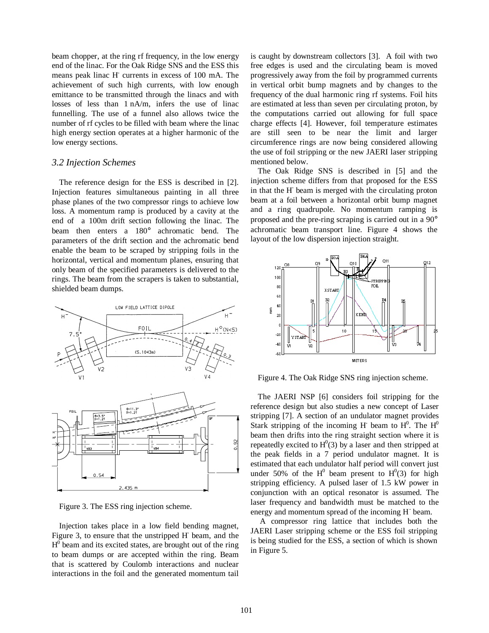beam chopper, at the ring rf frequency, in the low energy end of the linac. For the Oak Ridge SNS and the ESS this means peak linac H<sup>-</sup> currents in excess of 100 mA. The achievement of such high currents, with low enough emittance to be transmitted through the linacs and with losses of less than 1 nA/m, infers the use of linac funnelling. The use of a funnel also allows twice the number of rf cycles to be filled with beam where the linac high energy section operates at a higher harmonic of the low energy sections.

#### *3.2 Injection Schemes*

The reference design for the ESS is described in [2]. Injection features simultaneous painting in all three phase planes of the two compressor rings to achieve low loss. A momentum ramp is produced by a cavity at the end of a 100m drift section following the linac. The beam then enters a 180° achromatic bend. The parameters of the drift section and the achromatic bend enable the beam to be scraped by stripping foils in the horizontal, vertical and momentum planes, ensuring that only beam of the specified parameters is delivered to the rings. The beam from the scrapers is taken to substantial, shielded beam dumps.



Figure 3. The ESS ring injection scheme.

Injection takes place in a low field bending magnet, Figure 3, to ensure that the unstripped H<sup>-</sup> beam, and the  $H<sup>0</sup>$  beam and its excited states, are brought out of the ring to beam dumps or are accepted within the ring. Beam that is scattered by Coulomb interactions and nuclear interactions in the foil and the generated momentum tail is caught by downstream collectors [3]. A foil with two free edges is used and the circulating beam is moved progressively away from the foil by programmed currents in vertical orbit bump magnets and by changes to the frequency of the dual harmonic ring rf systems. Foil hits are estimated at less than seven per circulating proton, by the computations carried out allowing for full space charge effects [4]. However, foil temperature estimates are still seen to be near the limit and larger circumference rings are now being considered allowing the use of foil stripping or the new JAERI laser stripping mentioned below.

The Oak Ridge SNS is described in [5] and the injection scheme differs from that proposed for the ESS in that the H- beam is merged with the circulating proton beam at a foil between a horizontal orbit bump magnet and a ring quadrupole. No momentum ramping is proposed and the pre-ring scraping is carried out in a 90° achromatic beam transport line. Figure 4 shows the layout of the low dispersion injection straight.



Figure 4. The Oak Ridge SNS ring injection scheme.

The JAERI NSP [6] considers foil stripping for the reference design but also studies a new concept of Laser stripping [7]. A section of an undulator magnet provides Stark stripping of the incoming H beam to  $H^0$ . The  $H^0$ beam then drifts into the ring straight section where it is repeatedly excited to  $H^0(3)$  by a laser and then stripped at the peak fields in a 7 period undulator magnet. It is estimated that each undulator half period will convert just under 50% of the H<sup>0</sup> beam present to H<sup>0</sup>(3) for high stripping efficiency. A pulsed laser of 1.5 kW power in conjunction with an optical resonator is assumed. The laser frequency and bandwidth must be matched to the energy and momentum spread of the incoming H<sup>-</sup> beam.

 A compressor ring lattice that includes both the JAERI Laser stripping scheme or the ESS foil stripping is being studied for the ESS, a section of which is shown in Figure 5.